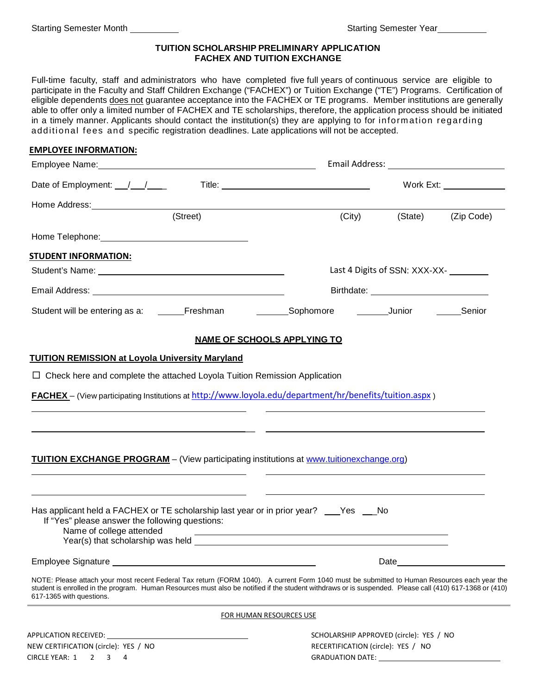## **TUITION SCHOLARSHIP PRELIMINARY APPLICATION FACHEX AND TUITION EXCHANGE**

Full-time faculty, staff and administrators who have completed five full years of continuous service are eligible to participate in the Faculty and Staff Children Exchange ("FACHEX") or Tuition Exchange ("TE") Programs. Certification of eligible dependents does not guarantee acceptance into the FACHEX or TE programs. Member institutions are generally able to offer only a limited number of FACHEX and TE scholarships, therefore, the application process should be initiated in a timely manner. Applicants should contact the institution(s) they are applying to for information regarding additional fees and specific registration deadlines. Late applications will not be accepted.

| <b>EMPLOYEE INFORMATION:</b>                                                                                                                                                                                                                                                                                                       |                                                                                                                                                                                                                                      |                                                                                                                 |
|------------------------------------------------------------------------------------------------------------------------------------------------------------------------------------------------------------------------------------------------------------------------------------------------------------------------------------|--------------------------------------------------------------------------------------------------------------------------------------------------------------------------------------------------------------------------------------|-----------------------------------------------------------------------------------------------------------------|
|                                                                                                                                                                                                                                                                                                                                    |                                                                                                                                                                                                                                      |                                                                                                                 |
| Date of Employment: $\frac{1}{\sqrt{1-\frac{1}{2}}}$                                                                                                                                                                                                                                                                               |                                                                                                                                                                                                                                      | Work Ext: _______________                                                                                       |
|                                                                                                                                                                                                                                                                                                                                    |                                                                                                                                                                                                                                      |                                                                                                                 |
| (Street)                                                                                                                                                                                                                                                                                                                           |                                                                                                                                                                                                                                      | (City)<br>(State)<br>(Zip Code)                                                                                 |
|                                                                                                                                                                                                                                                                                                                                    |                                                                                                                                                                                                                                      |                                                                                                                 |
| <b>STUDENT INFORMATION:</b>                                                                                                                                                                                                                                                                                                        |                                                                                                                                                                                                                                      |                                                                                                                 |
|                                                                                                                                                                                                                                                                                                                                    |                                                                                                                                                                                                                                      | Last 4 Digits of SSN: XXX-XX-                                                                                   |
|                                                                                                                                                                                                                                                                                                                                    |                                                                                                                                                                                                                                      |                                                                                                                 |
| Student will be entering as a: ______Freshman _____________Sophomore _________Junior ________Senior                                                                                                                                                                                                                                |                                                                                                                                                                                                                                      |                                                                                                                 |
|                                                                                                                                                                                                                                                                                                                                    | <b>NAME OF SCHOOLS APPLYING TO</b>                                                                                                                                                                                                   |                                                                                                                 |
| <b>TUITION REMISSION at Loyola University Maryland</b>                                                                                                                                                                                                                                                                             |                                                                                                                                                                                                                                      |                                                                                                                 |
| $\Box$ Check here and complete the attached Loyola Tuition Remission Application                                                                                                                                                                                                                                                   |                                                                                                                                                                                                                                      |                                                                                                                 |
| FACHEX - (View participating Institutions at http://www.loyola.edu/department/hr/benefits/tuition.aspx)                                                                                                                                                                                                                            |                                                                                                                                                                                                                                      |                                                                                                                 |
|                                                                                                                                                                                                                                                                                                                                    |                                                                                                                                                                                                                                      |                                                                                                                 |
|                                                                                                                                                                                                                                                                                                                                    |                                                                                                                                                                                                                                      |                                                                                                                 |
|                                                                                                                                                                                                                                                                                                                                    |                                                                                                                                                                                                                                      |                                                                                                                 |
| <b>TUITION EXCHANGE PROGRAM</b> - (View participating institutions at www.tuitionexchange.org)                                                                                                                                                                                                                                     |                                                                                                                                                                                                                                      |                                                                                                                 |
|                                                                                                                                                                                                                                                                                                                                    |                                                                                                                                                                                                                                      |                                                                                                                 |
|                                                                                                                                                                                                                                                                                                                                    |                                                                                                                                                                                                                                      |                                                                                                                 |
| Has applicant held a FACHEX or TE scholarship last year or in prior year? ___Yes ___No<br>If "Yes" please answer the following questions:                                                                                                                                                                                          |                                                                                                                                                                                                                                      |                                                                                                                 |
| Name of college attended                                                                                                                                                                                                                                                                                                           |                                                                                                                                                                                                                                      |                                                                                                                 |
| Year(s) that scholarship was held                                                                                                                                                                                                                                                                                                  | <u>and the state of the state of the state of the state of the state of the state of the state of the state of the state of the state of the state of the state of the state of the state of the state of the state of the state</u> |                                                                                                                 |
|                                                                                                                                                                                                                                                                                                                                    |                                                                                                                                                                                                                                      | Date and the state of the state of the state of the state of the state of the state of the state of the state o |
| NOTE: Please attach your most recent Federal Tax return (FORM 1040). A current Form 1040 must be submitted to Human Resources each year the<br>student is enrolled in the program. Human Resources must also be notified if the student withdraws or is suspended. Please call (410) 617-1368 or (410)<br>617-1365 with questions. |                                                                                                                                                                                                                                      |                                                                                                                 |
|                                                                                                                                                                                                                                                                                                                                    | FOR HUMAN RESOURCES USE                                                                                                                                                                                                              |                                                                                                                 |
|                                                                                                                                                                                                                                                                                                                                    |                                                                                                                                                                                                                                      | SCHOLARSHIP APPROVED (circle): YES / NO                                                                         |
| NEW CERTIFICATION (circle): YES / NO                                                                                                                                                                                                                                                                                               |                                                                                                                                                                                                                                      | RECERTIFICATION (circle): YES / NO                                                                              |
| CIRCLE YEAR: 1 2 3 4                                                                                                                                                                                                                                                                                                               |                                                                                                                                                                                                                                      | <b>GRADUATION DATE:</b>                                                                                         |